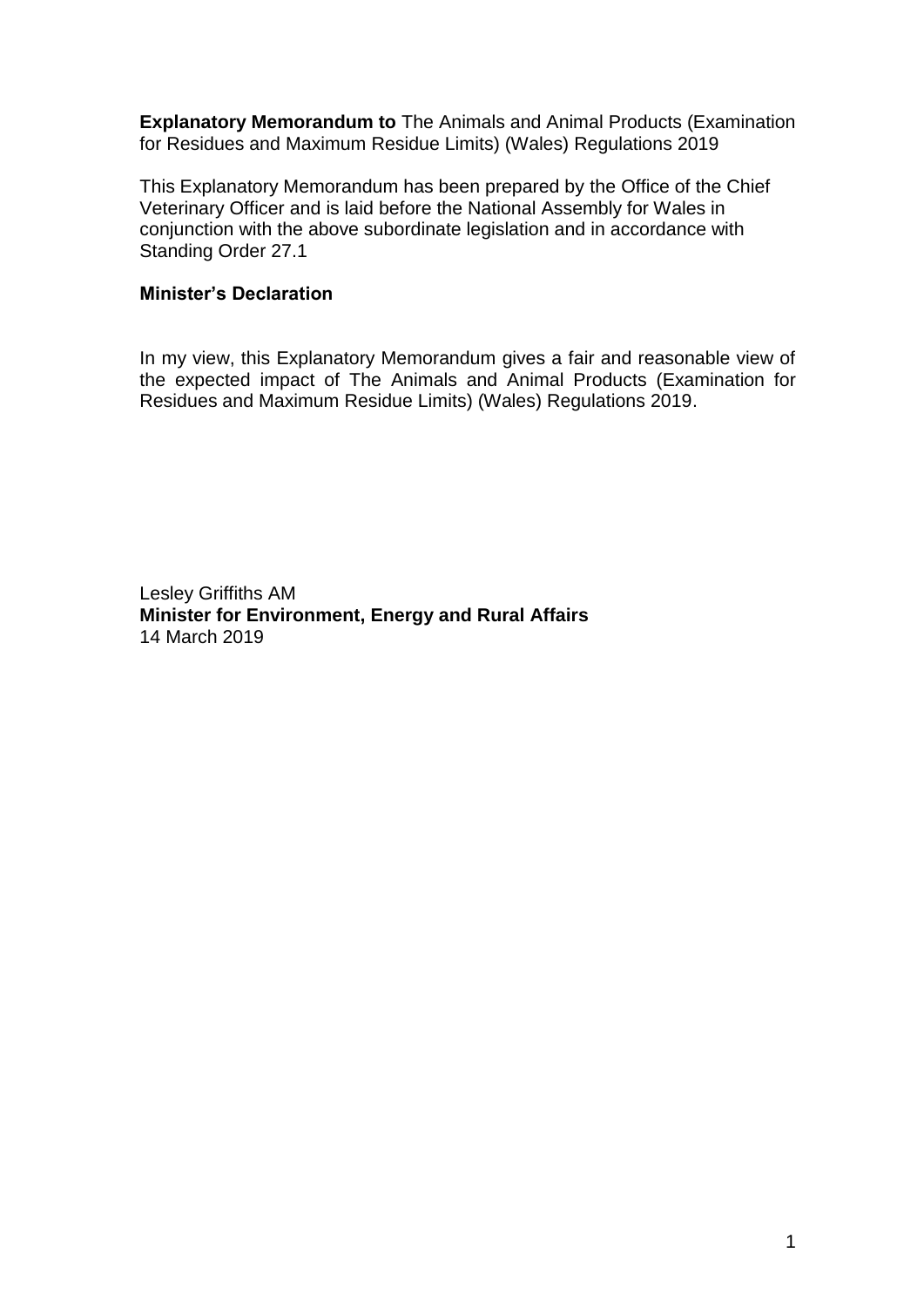**Explanatory Memorandum to** The Animals and Animal Products (Examination for Residues and Maximum Residue Limits) (Wales) Regulations 2019

This Explanatory Memorandum has been prepared by the Office of the Chief Veterinary Officer and is laid before the National Assembly for Wales in conjunction with the above subordinate legislation and in accordance with Standing Order 27.1

#### **Minister's Declaration**

In my view, this Explanatory Memorandum gives a fair and reasonable view of the expected impact of The Animals and Animal Products (Examination for Residues and Maximum Residue Limits) (Wales) Regulations 2019.

Lesley Griffiths AM **Minister for Environment, Energy and Rural Affairs** 14 March 2019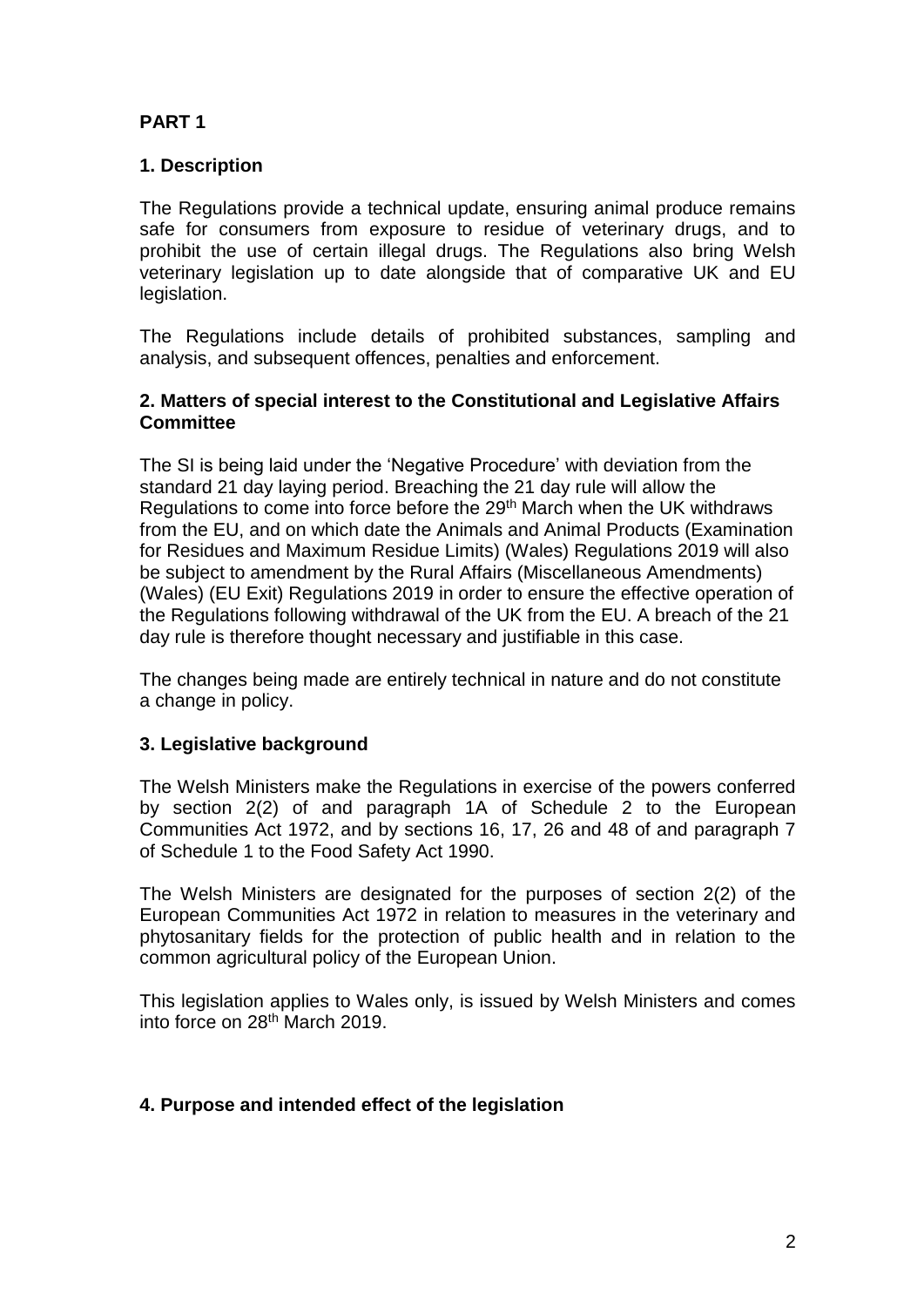# **PART 1**

## **1. Description**

The Regulations provide a technical update, ensuring animal produce remains safe for consumers from exposure to residue of veterinary drugs, and to prohibit the use of certain illegal drugs. The Regulations also bring Welsh veterinary legislation up to date alongside that of comparative UK and EU legislation.

The Regulations include details of prohibited substances, sampling and analysis, and subsequent offences, penalties and enforcement.

#### **2. Matters of special interest to the Constitutional and Legislative Affairs Committee**

The SI is being laid under the 'Negative Procedure' with deviation from the standard 21 day laying period. Breaching the 21 day rule will allow the Regulations to come into force before the 29<sup>th</sup> March when the UK withdraws from the EU, and on which date the Animals and Animal Products (Examination for Residues and Maximum Residue Limits) (Wales) Regulations 2019 will also be subject to amendment by the Rural Affairs (Miscellaneous Amendments) (Wales) (EU Exit) Regulations 2019 in order to ensure the effective operation of the Regulations following withdrawal of the UK from the EU. A breach of the 21 day rule is therefore thought necessary and justifiable in this case.

The changes being made are entirely technical in nature and do not constitute a change in policy.

#### **3. Legislative background**

The Welsh Ministers make the Regulations in exercise of the powers conferred by section 2(2) of and paragraph 1A of Schedule 2 to the European Communities Act 1972, and by sections 16, 17, 26 and 48 of and paragraph 7 of Schedule 1 to the Food Safety Act 1990.

The Welsh Ministers are designated for the purposes of section 2(2) of the European Communities Act 1972 in relation to measures in the veterinary and phytosanitary fields for the protection of public health and in relation to the common agricultural policy of the European Union.

This legislation applies to Wales only, is issued by Welsh Ministers and comes into force on 28<sup>th</sup> March 2019.

#### **4. Purpose and intended effect of the legislation**